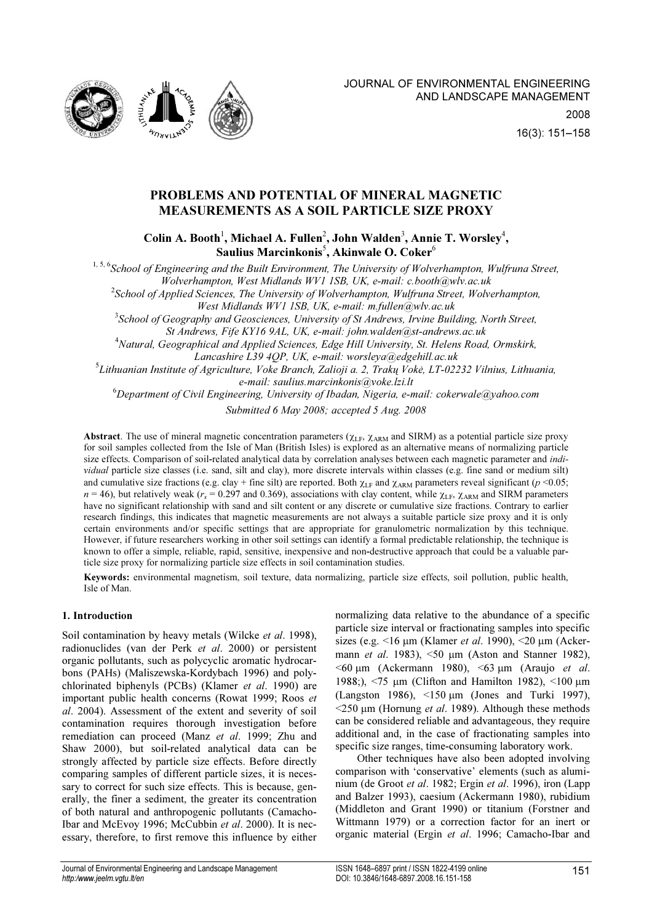

# PROBLEMS AND POTENTIAL OF MINERAL MAGNETIC MEASUREMENTS AS A SOIL PARTICLE SIZE PROXY

Colin A. Booth<sup>1</sup>, Michael A. Fullen<sup>2</sup>, John Walden<sup>3</sup>, Annie T. Worsley<sup>4</sup>, Saulius Marcinkonis $^5$ , Akinwale O.  $\mathrm{Coker}^6$ 

<sup>1, 5, 6</sup>School of Engineering and the Built Environment, The University of Wolverhampton, Wulfruna Street, Wolverhampton, West Midlands WV1 1SB, UK, e-mail: c.booth@wlv.ac.uk

 $^2$ School of Applied Sciences, The University of Wolverhampton, Wulfruna Street, Wolverhampton,

West Midlands WV1 1SB, UK, e-mail: m.fullen@wlv.ac.uk

 $^3$ School of Geography and Geosciences, University of St Andrews, Irvine Building, North Street,

St Andrews, Fife KY16 9AL, UK, e-mail: john.walden@st-andrews.ac.uk

<sup>4</sup>Natural, Geographical and Applied Sciences, Edge Hill University, St. Helens Road, Ormskirk,

Lancashire L39 4QP, UK, e-mail: worsleya@edgehill.ac.uk

5 Lithuanian Institute of Agriculture, Voke Branch, Zalioji a. 2, Trakų Vokė, LT-02232 Vilnius, Lithuania, e-mail: saulius.marcinkonis@voke.lzi.lt

 $6D$ epartment of Civil Engineering, University of Ibadan, Nigeria, e-mail: cokerwale@yahoo.com

Submitted 6 May 2008; accepted 5 Aug. 2008

Abstract. The use of mineral magnetic concentration parameters ( $\chi_{LF}$ ,  $\chi_{ARM}$  and SIRM) as a potential particle size proxy for soil samples collected from the Isle of Man (British Isles) is explored as an alternative means of normalizing particle size effects. Comparison of soil-related analytical data by correlation analyses between each magnetic parameter and *indi*vidual particle size classes (i.e. sand, silt and clay), more discrete intervals within classes (e.g. fine sand or medium silt) and cumulative size fractions (e.g. clay + fine silt) are reported. Both  $\chi_{LF}$  and  $\chi_{ARM}$  parameters reveal significant (p <0.05;  $n = 46$ ), but relatively weak ( $r_s = 0.297$  and 0.369), associations with clay content, while  $\chi_{LF}$ ,  $\chi_{ARM}$  and SIRM parameters have no significant relationship with sand and silt content or any discrete or cumulative size fractions. Contrary to earlier research findings, this indicates that magnetic measurements are not always a suitable particle size proxy and it is only certain environments and/or specific settings that are appropriate for granulometric normalization by this technique. However, if future researchers working in other soil settings can identify a formal predictable relationship, the technique is known to offer a simple, reliable, rapid, sensitive, inexpensive and non-destructive approach that could be a valuable particle size proxy for normalizing particle size effects in soil contamination studies.

Keywords: environmental magnetism, soil texture, data normalizing, particle size effects, soil pollution, public health, Isle of Man.

# 1. Introduction

Soil contamination by heavy metals (Wilcke et al. 1998), radionuclides (van der Perk et al. 2000) or persistent organic pollutants, such as polycyclic aromatic hydrocarbons (PAHs) (Maliszewska-Kordybach 1996) and polychlorinated biphenyls (PCBs) (Klamer et al. 1990) are important public health concerns (Rowat 1999; Roos et al. 2004). Assessment of the extent and severity of soil contamination requires thorough investigation before remediation can proceed (Manz et al. 1999; Zhu and Shaw 2000), but soil-related analytical data can be strongly affected by particle size effects. Before directly comparing samples of different particle sizes, it is necessary to correct for such size effects. This is because, generally, the finer a sediment, the greater its concentration of both natural and anthropogenic pollutants (Camacho-Ibar and McEvoy 1996; McCubbin et al. 2000). It is necessary, therefore, to first remove this influence by either normalizing data relative to the abundance of a specific particle size interval or fractionating samples into specific sizes (e.g.  $\leq 16$  µm (Klamer *et al.* 1990),  $\leq 20$  µm (Ackermann *et al.* 1983),  $\leq 50$  µm (Aston and Stanner 1982),  $\leq 60$  um (Ackermann 1980),  $\leq 63$  um (Araujo *et al.*) 1988;), <75 µm (Clifton and Hamilton 1982), <100 µm (Langston 1986), <150 µm (Jones and Turki 1997),  $\leq$ 250 um (Hornung *et al.* 1989). Although these methods can be considered reliable and advantageous, they require additional and, in the case of fractionating samples into specific size ranges, time-consuming laboratory work.

Other techniques have also been adopted involving comparison with 'conservative' elements (such as aluminium (de Groot et al. 1982; Ergin et al. 1996), iron (Lapp and Balzer 1993), caesium (Ackermann 1980), rubidium (Middleton and Grant 1990) or titanium (Forstner and Wittmann 1979) or a correction factor for an inert or organic material (Ergin et al. 1996; Camacho-Ibar and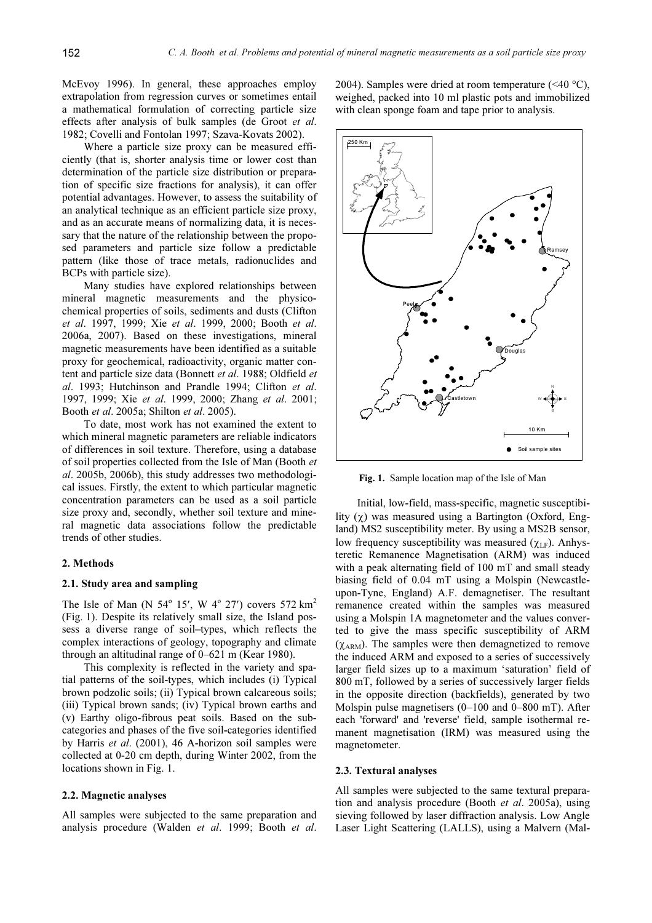McEvoy 1996). In general, these approaches employ extrapolation from regression curves or sometimes entail a mathematical formulation of correcting particle size effects after analysis of bulk samples (de Groot et al. 1982; Covelli and Fontolan 1997; Szava-Kovats 2002).

Where a particle size proxy can be measured efficiently (that is, shorter analysis time or lower cost than determination of the particle size distribution or preparation of specific size fractions for analysis), it can offer potential advantages. However, to assess the suitability of an analytical technique as an efficient particle size proxy, and as an accurate means of normalizing data, it is necessary that the nature of the relationship between the proposed parameters and particle size follow a predictable pattern (like those of trace metals, radionuclides and BCPs with particle size).

Many studies have explored relationships between mineral magnetic measurements and the physicochemical properties of soils, sediments and dusts (Clifton et al. 1997, 1999; Xie et al. 1999, 2000; Booth et al. 2006a, 2007). Based on these investigations, mineral magnetic measurements have been identified as a suitable proxy for geochemical, radioactivity, organic matter content and particle size data (Bonnett et al. 1988; Oldfield et al. 1993; Hutchinson and Prandle 1994; Clifton et al. 1997, 1999; Xie et al. 1999, 2000; Zhang et al. 2001; Booth et al. 2005a; Shilton et al. 2005).

To date, most work has not examined the extent to which mineral magnetic parameters are reliable indicators of differences in soil texture. Therefore, using a database of soil properties collected from the Isle of Man (Booth et al. 2005b, 2006b), this study addresses two methodological issues. Firstly, the extent to which particular magnetic concentration parameters can be used as a soil particle size proxy and, secondly, whether soil texture and mineral magnetic data associations follow the predictable trends of other studies.

# 2. Methods

# 2.1. Study area and sampling

The Isle of Man (N  $54^{\circ}$  15', W  $4^{\circ}$  27') covers 572 km<sup>2</sup> (Fig. 1). Despite its relatively small size, the Island possess a diverse range of soil–types, which reflects the complex interactions of geology, topography and climate through an altitudinal range of 0–621 m (Kear 1980).

This complexity is reflected in the variety and spatial patterns of the soil-types, which includes (i) Typical brown podzolic soils; (ii) Typical brown calcareous soils; (iii) Typical brown sands; (iv) Typical brown earths and (v) Earthy oligo-fibrous peat soils. Based on the subcategories and phases of the five soil-categories identified by Harris et al. (2001), 46 A-horizon soil samples were collected at 0-20 cm depth, during Winter 2002, from the locations shown in Fig. 1.

# 2.2. Magnetic analyses

All samples were subjected to the same preparation and analysis procedure (Walden et al. 1999; Booth et al. 2004). Samples were dried at room temperature  $(\leq 40 \degree C)$ , weighed, packed into 10 ml plastic pots and immobilized with clean sponge foam and tape prior to analysis.



Fig. 1. Sample location map of the Isle of Man

Initial, low-field, mass-specific, magnetic susceptibility  $(y)$  was measured using a Bartington (Oxford, England) MS2 susceptibility meter. By using a MS2B sensor, low frequency susceptibility was measured ( $χ_{LF}$ ). Anhysteretic Remanence Magnetisation (ARM) was induced with a peak alternating field of 100 mT and small steady biasing field of 0.04 mT using a Molspin (Newcastleupon-Tyne, England) A.F. demagnetiser. The resultant remanence created within the samples was measured using a Molspin 1A magnetometer and the values converted to give the mass specific susceptibility of ARM  $(\chi_{\text{ARM}})$ . The samples were then demagnetized to remove the induced ARM and exposed to a series of successively larger field sizes up to a maximum 'saturation' field of 800 mT, followed by a series of successively larger fields in the opposite direction (backfields), generated by two Molspin pulse magnetisers (0–100 and 0–800 mT). After each 'forward' and 'reverse' field, sample isothermal remanent magnetisation (IRM) was measured using the magnetometer.

#### 2.3. Textural analyses

All samples were subjected to the same textural preparation and analysis procedure (Booth et al. 2005a), using sieving followed by laser diffraction analysis. Low Angle Laser Light Scattering (LALLS), using a Malvern (Mal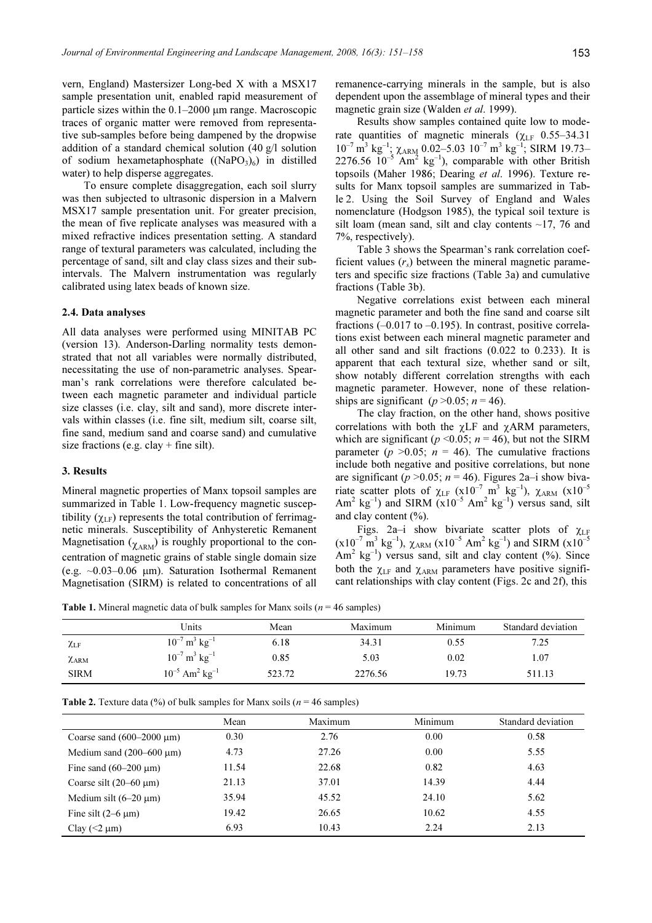vern, England) Mastersizer Long-bed X with a MSX17 sample presentation unit, enabled rapid measurement of particle sizes within the  $0.1-2000$  µm range. Macroscopic traces of organic matter were removed from representative sub-samples before being dampened by the dropwise addition of a standard chemical solution (40 g/l solution of sodium hexametaphosphate  $((NaPO<sub>3</sub>)<sub>6</sub>)$  in distilled water) to help disperse aggregates.

To ensure complete disaggregation, each soil slurry was then subjected to ultrasonic dispersion in a Malvern MSX17 sample presentation unit. For greater precision, the mean of five replicate analyses was measured with a mixed refractive indices presentation setting. A standard range of textural parameters was calculated, including the percentage of sand, silt and clay class sizes and their subintervals. The Malvern instrumentation was regularly calibrated using latex beads of known size.

#### 2.4. Data analyses

All data analyses were performed using MINITAB PC (version 13). Anderson-Darling normality tests demonstrated that not all variables were normally distributed, necessitating the use of non-parametric analyses. Spearman's rank correlations were therefore calculated between each magnetic parameter and individual particle size classes (i.e. clay, silt and sand), more discrete intervals within classes (i.e. fine silt, medium silt, coarse silt, fine sand, medium sand and coarse sand) and cumulative size fractions (e.g. clay  $+$  fine silt).

#### 3. Results

Mineral magnetic properties of Manx topsoil samples are summarized in Table 1. Low-frequency magnetic susceptibility ( $\gamma_{LF}$ ) represents the total contribution of ferrimagnetic minerals. Susceptibility of Anhysteretic Remanent Magnetisation ( $\chi$ <sub>ARM</sub>) is roughly proportional to the concentration of magnetic grains of stable single domain size (e.g.  $\sim 0.03-0.06$  µm). Saturation Isothermal Remanent Magnetisation (SIRM) is related to concentrations of all remanence-carrying minerals in the sample, but is also dependent upon the assemblage of mineral types and their magnetic grain size (Walden *et al.* 1999).

Results show samples contained quite low to moderate quantities of magnetic minerals ( $\chi$ <sub>LF</sub> 0.55–34.31  $10^{-7}$  m<sup>3</sup> kg<sup>-1</sup>;  $\chi$ <sub>ARM</sub> 0.02–5.03  $10^{-7}$  m<sup>3</sup> kg<sup>-1</sup>; SIRM 19.73– 2276.56  $10^{-5}$  Am<sup>2</sup> kg<sup>-1</sup>), comparable with other British topsoils (Maher 1986; Dearing et al. 1996). Texture results for Manx topsoil samples are summarized in Table 2. Using the Soil Survey of England and Wales nomenclature (Hodgson 1985), the typical soil texture is silt loam (mean sand, silt and clay contents  $\sim$ 17, 76 and 7%, respectively).

Table 3 shows the Spearman's rank correlation coefficient values  $(r<sub>s</sub>)$  between the mineral magnetic parameters and specific size fractions (Table 3a) and cumulative fractions (Table 3b).

Negative correlations exist between each mineral magnetic parameter and both the fine sand and coarse silt fractions  $(-0.017 \text{ to } -0.195)$ . In contrast, positive correlations exist between each mineral magnetic parameter and all other sand and silt fractions (0.022 to 0.233). It is apparent that each textural size, whether sand or silt, show notably different correlation strengths with each magnetic parameter. However, none of these relationships are significant ( $p > 0.05$ ;  $n = 46$ ).

The clay fraction, on the other hand, shows positive correlations with both the  $\gamma L$ F and  $\gamma$ ARM parameters, which are significant ( $p \le 0.05$ ;  $n = 46$ ), but not the SIRM parameter ( $p > 0.05$ ;  $n = 46$ ). The cumulative fractions include both negative and positive correlations, but none are significant ( $p > 0.05$ ;  $n = 46$ ). Figures 2a–i show bivariate scatter plots of  $\chi$ <sub>LF</sub> (x10<sup>-7</sup> m<sup>3</sup> kg<sup>-1</sup>),  $\chi$ <sub>ARM</sub> (x10<sup>-5</sup> Am<sup>2</sup> kg<sup>-1</sup>) and SIRM  $(x10^{-5}$  Am<sup>2</sup> kg<sup>-1</sup>) versus sand, silt and clay content  $(\%).$ 

Figs. 2a–i show bivariate scatter plots of  $\chi$ LF  $(x10^{-7} \text{ m}^3 \text{ kg}^{-1})$ ,  $\chi$ <sub>ARM</sub>  $(x10^{-5} \text{ Am}^2 \text{ kg}^{-1})$  and SIRM  $(x10^{-5}$  $Am^2$  kg<sup>-1</sup>) versus sand, silt and clay content (%). Since both the  $\chi$ <sub>LF</sub> and  $\chi$ <sub>ARM</sub> parameters have positive significant relationships with clay content (Figs. 2c and 2f), this

**Table 1.** Mineral magnetic data of bulk samples for Manx soils ( $n = 46$  samples)

|             | Units                                      | Mean   | Maximum | Minimum | Standard deviation |
|-------------|--------------------------------------------|--------|---------|---------|--------------------|
| $\chi_{LF}$ | $10^{-7}$ m <sup>3</sup> kg <sup>-1</sup>  | 6.18   | 34.31   | 0.55    | 7.25               |
| $\chi$ arm  | $10^{-7}$ m <sup>3</sup> kg <sup>-1</sup>  | 0.85   | 5.03    | 0.02    | 1.07               |
| <b>SIRM</b> | $10^{-5}$ Am <sup>2</sup> kg <sup>-1</sup> | 523.72 | 2276.56 | 19.73   | 511.13             |

| <b>Table 2.</b> Texture data (%) of bulk samples for Manx soils ( $n = 46$ samples) |  |  |  |  |
|-------------------------------------------------------------------------------------|--|--|--|--|
|-------------------------------------------------------------------------------------|--|--|--|--|

|                                    | Mean  | Maximum | Minimum | Standard deviation |
|------------------------------------|-------|---------|---------|--------------------|
| Coarse sand $(600-2000 \mu m)$     | 0.30  | 2.76    | 0.00    | 0.58               |
| Medium sand $(200-600 \text{ µm})$ | 4.73  | 27.26   | 0.00    | 5.55               |
| Fine sand $(60-200 \mu m)$         | 11.54 | 22.68   | 0.82    | 4.63               |
| Coarse silt $(20-60 \mu m)$        | 21.13 | 37.01   | 14.39   | 4.44               |
| Medium silt $(6-20 \mu m)$         | 35.94 | 45.52   | 24.10   | 5.62               |
| Fine silt $(2-6 \mu m)$            | 19.42 | 26.65   | 10.62   | 4.55               |
| Clay $(< 2 \mu m)$                 | 6.93  | 10.43   | 2.24    | 2.13               |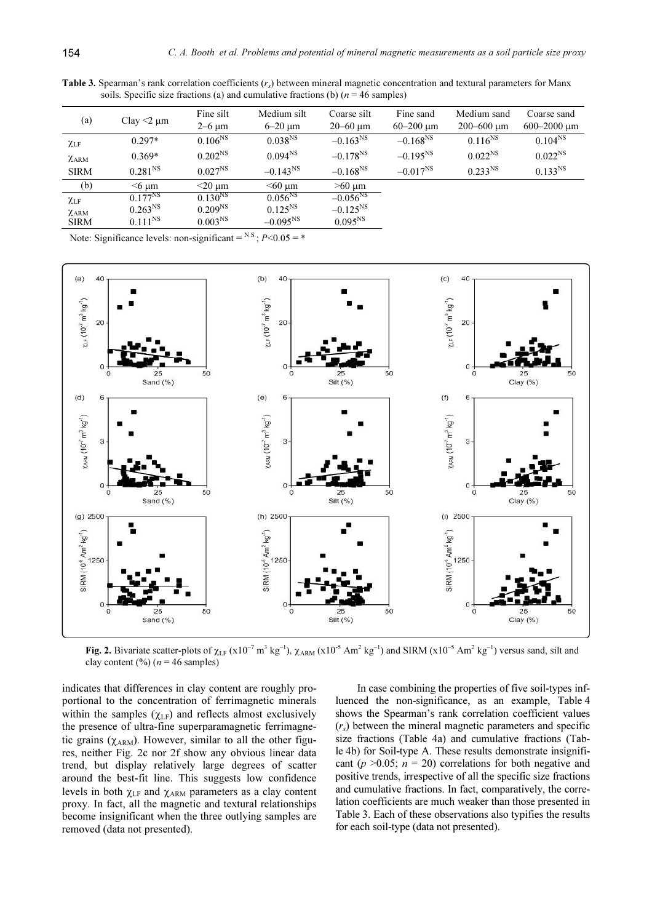| (a)             | Clay $\leq$ $\mu$ m | Fine silt<br>$2-6 \mu m$ | Medium silt<br>$6-20 \text{ }\mu\text{m}$ | Coarse silt<br>$20 - 60 \text{ µm}$ | Fine sand<br>$60 - 200$ um | Medium sand<br>200-600 um | Coarse sand<br>$600 - 2000 \mu m$ |
|-----------------|---------------------|--------------------------|-------------------------------------------|-------------------------------------|----------------------------|---------------------------|-----------------------------------|
| $\chi_{\rm LF}$ | $0.297*$            | $0.106^{NS}$             | $0.038^{NS}$                              | $-0.163^{NS}$                       | $-0.168^{NS}$              | $0.116^{NS}$              | $0.104^{NS}$                      |
| $\chi$ ARM      | $0.369*$            | $0.202^{NS}$             | $0.094^{NS}$                              | $-0.178^{NS}$                       | $-0.195^{NS}$              | $0.022^{NS}$              | $0.022^{NS}$                      |
| <b>SIRM</b>     | $0.281^{NS}$        | $0.027^{NS}$             | $-0.143^{NS}$                             | $-0.168^{NS}$                       | $-0.017^{NS}$              | $0.233^{NS}$              | $0.133^{NS}$                      |
| (b)             | $<$ 6 µm            | $<$ 20 µm                | $<$ 60 µm                                 | $>60 \mu m$                         |                            |                           |                                   |
| $\chi_{\rm LF}$ | $0.177^{NS}$        | $0.130^{NS}$             | $0.056^{NS}$                              | $-0.056^{NS}$                       |                            |                           |                                   |
| $\chi$ ARM      | $0.263^{NS}$        | $0.209^{NS}$             | $0.125^{NS}$                              | $-0.125^{NS}$                       |                            |                           |                                   |
| <b>SIRM</b>     | $0.111^{NS}$        | 0.003 <sup>NS</sup>      | $-0.095^{NS}$                             | $0.095^{NS}$                        |                            |                           |                                   |

Table 3. Spearman's rank correlation coefficients  $(r<sub>s</sub>)$  between mineral magnetic concentration and textural parameters for Manx soils. Specific size fractions (a) and cumulative fractions (b)  $(n = 46$  samples)

Note: Significance levels: non-significant =  $^{N.S.}$ ;  $P \le 0.05$  = \*



Fig. 2. Bivariate scatter-plots of  $\chi_{LF}$  (x10<sup>-7</sup> m<sup>3</sup> kg<sup>-1</sup>),  $\chi_{ARM}$  (x10<sup>-5</sup> Am<sup>2</sup> kg<sup>-1</sup>) and SIRM (x10<sup>-5</sup> Am<sup>2</sup> kg<sup>-1</sup>) versus sand, silt and clay content (%) ( $n = 46$  samples)

indicates that differences in clay content are roughly proportional to the concentration of ferrimagnetic minerals within the samples  $(\chi_{LF})$  and reflects almost exclusively the presence of ultra-fine superparamagnetic ferrimagnetic grains ( $\chi_{\text{ARM}}$ ). However, similar to all the other figures, neither Fig. 2c nor 2f show any obvious linear data trend, but display relatively large degrees of scatter around the best-fit line. This suggests low confidence levels in both  $\chi$ <sub>LF</sub> and  $\chi$ <sub>ARM</sub> parameters as a clay content proxy. In fact, all the magnetic and textural relationships become insignificant when the three outlying samples are removed (data not presented).

In case combining the properties of five soil-types influenced the non-significance, as an example, Table 4 shows the Spearman's rank correlation coefficient values  $(r<sub>s</sub>)$  between the mineral magnetic parameters and specific size fractions (Table 4a) and cumulative fractions (Table 4b) for Soil-type A. These results demonstrate insignificant ( $p > 0.05$ ;  $n = 20$ ) correlations for both negative and positive trends, irrespective of all the specific size fractions and cumulative fractions. In fact, comparatively, the correlation coefficients are much weaker than those presented in Table 3. Each of these observations also typifies the results for each soil-type (data not presented).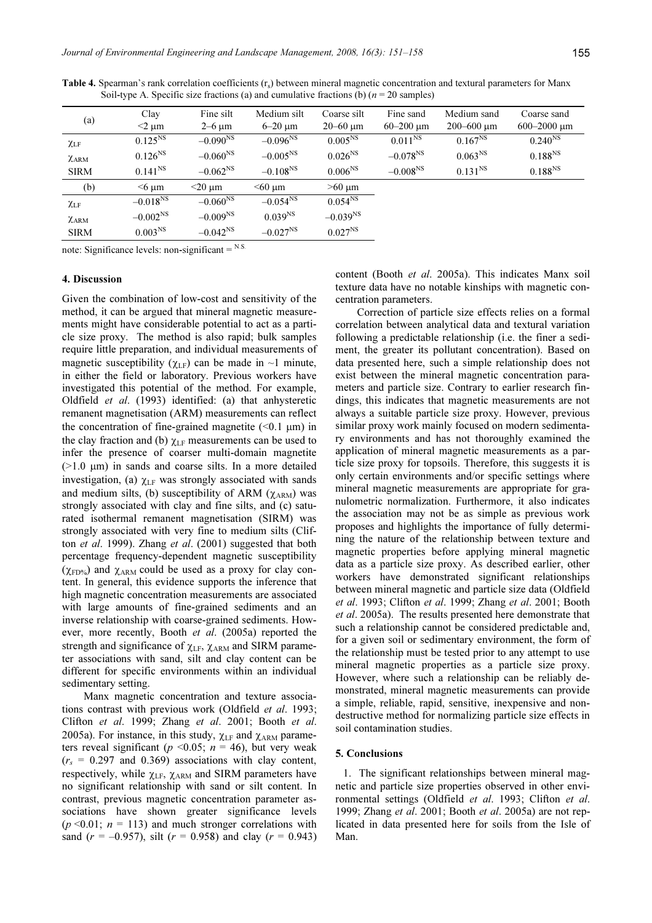| (a)             | Clay<br>$<$ 2 µm | Fine silt<br>$2-6 \mu m$ | Medium silt<br>$6-20 \mu m$ | Coarse silt<br>$20 - 60 \text{ µm}$ | Fine sand<br>$60 - 200$ um | Medium sand<br>$200 - 600 \text{ µm}$ | Coarse sand<br>$600 - 2000 \mu m$ |
|-----------------|------------------|--------------------------|-----------------------------|-------------------------------------|----------------------------|---------------------------------------|-----------------------------------|
| $\chi_{\rm LF}$ | $0.125^{NS}$     | $-0.090^{NS}$            | $-0.096^{NS}$               | $0.005^{NS}$                        | $0.011^{NS}$               | $0.167^{NS}$                          | $0.240^{NS}$                      |
| $\chi$ ARM      | $0.126^{NS}$     | $-0.060^{NS}$            | $-0.005^{NS}$               | $0.026^{NS}$                        | $-0.078^{NS}$              | $0.063^{NS}$                          | $0.188^{NS}$                      |
| <b>SIRM</b>     | $0.141^{NS}$     | $-0.062^{NS}$            | $-0.108^{NS}$               | $0.006^{NS}$                        | $-0.008^{NS}$              | $0.131^{NS}$                          | $0.188^{NS}$                      |
| (b)             | $<$ 6 um         | $<$ 20 $\mu$ m           | $<$ 60 µm                   | $>60 \mu m$                         |                            |                                       |                                   |
| $\chi_{LF}$     | $-0.018^{NS}$    | $-0.060^{NS}$            | $-0.054^{NS}$               | $0.054^{NS}$                        |                            |                                       |                                   |
| $\chi$ ARM      | $-0.002^{NS}$    | $-0.009^{NS}$            | 0.039 <sup>NS</sup>         | $-0.039^{NS}$                       |                            |                                       |                                   |
| <b>SIRM</b>     | $0.003^{NS}$     | $-0.042^{NS}$            | $-0.027^{NS}$               | $0.027^{NS}$                        |                            |                                       |                                   |

Table 4. Spearman's rank correlation coefficients (r<sub>s</sub>) between mineral magnetic concentration and textural parameters for Manx Soil-type A. Specific size fractions (a) and cumulative fractions (b)  $(n = 20 \text{ samples})$ 

note: Significance levels: non-significant  $=$  <sup>N.S.</sup>

#### 4. Discussion

Given the combination of low-cost and sensitivity of the method, it can be argued that mineral magnetic measurements might have considerable potential to act as a particle size proxy. The method is also rapid; bulk samples require little preparation, and individual measurements of magnetic susceptibility ( $\chi_{LF}$ ) can be made in ~1 minute, in either the field or laboratory. Previous workers have investigated this potential of the method. For example, Oldfield et al. (1993) identified: (a) that anhysteretic remanent magnetisation (ARM) measurements can reflect the concentration of fine-grained magnetite  $(\leq 0.1 \text{ }\mu\text{m})$  in the clay fraction and (b)  $\chi$ <sub>LF</sub> measurements can be used to infer the presence of coarser multi-domain magnetite  $(>1.0 \mu m)$  in sands and coarse silts. In a more detailed investigation, (a)  $\chi$ <sub>LF</sub> was strongly associated with sands and medium silts, (b) susceptibility of ARM ( $\chi$ <sub>ARM</sub>) was strongly associated with clay and fine silts, and (c) saturated isothermal remanent magnetisation (SIRM) was strongly associated with very fine to medium silts (Clifton et al. 1999). Zhang et al. (2001) suggested that both percentage frequency-dependent magnetic susceptibility  $(\chi_{\text{FD%}})$  and  $\chi_{\text{ARM}}$  could be used as a proxy for clay content. In general, this evidence supports the inference that high magnetic concentration measurements are associated with large amounts of fine-grained sediments and an inverse relationship with coarse-grained sediments. However, more recently, Booth et al. (2005a) reported the strength and significance of  $\chi$ <sub>LF</sub>,  $\chi$ <sub>ARM</sub> and SIRM parameter associations with sand, silt and clay content can be different for specific environments within an individual sedimentary setting.

Manx magnetic concentration and texture associations contrast with previous work (Oldfield et al. 1993; Clifton et al. 1999; Zhang et al. 2001; Booth et al. 2005a). For instance, in this study,  $\chi$ <sub>LF</sub> and  $\chi$ <sub>ARM</sub> parameters reveal significant ( $p \le 0.05$ ;  $n = 46$ ), but very weak  $(r<sub>s</sub> = 0.297$  and 0.369) associations with clay content, respectively, while  $\chi_{LF}$ ,  $\chi_{ARM}$  and SIRM parameters have no significant relationship with sand or silt content. In contrast, previous magnetic concentration parameter associations have shown greater significance levels  $(p \le 0.01; n = 113)$  and much stronger correlations with sand  $(r = -0.957)$ , silt  $(r = 0.958)$  and clay  $(r = 0.943)$ 

content (Booth et al. 2005a). This indicates Manx soil texture data have no notable kinships with magnetic concentration parameters.

Correction of particle size effects relies on a formal correlation between analytical data and textural variation following a predictable relationship (i.e. the finer a sediment, the greater its pollutant concentration). Based on data presented here, such a simple relationship does not exist between the mineral magnetic concentration parameters and particle size. Contrary to earlier research findings, this indicates that magnetic measurements are not always a suitable particle size proxy. However, previous similar proxy work mainly focused on modern sedimentary environments and has not thoroughly examined the application of mineral magnetic measurements as a particle size proxy for topsoils. Therefore, this suggests it is only certain environments and/or specific settings where mineral magnetic measurements are appropriate for granulometric normalization. Furthermore, it also indicates the association may not be as simple as previous work proposes and highlights the importance of fully determining the nature of the relationship between texture and magnetic properties before applying mineral magnetic data as a particle size proxy. As described earlier, other workers have demonstrated significant relationships between mineral magnetic and particle size data (Oldfield et al. 1993; Clifton et al. 1999; Zhang et al. 2001; Booth et al. 2005a). The results presented here demonstrate that such a relationship cannot be considered predictable and, for a given soil or sedimentary environment, the form of the relationship must be tested prior to any attempt to use mineral magnetic properties as a particle size proxy. However, where such a relationship can be reliably demonstrated, mineral magnetic measurements can provide a simple, reliable, rapid, sensitive, inexpensive and nondestructive method for normalizing particle size effects in soil contamination studies.

#### 5. Conclusions

1. The significant relationships between mineral magnetic and particle size properties observed in other environmental settings (Oldfield et al. 1993; Clifton et al. 1999; Zhang et al. 2001; Booth et al. 2005a) are not replicated in data presented here for soils from the Isle of Man.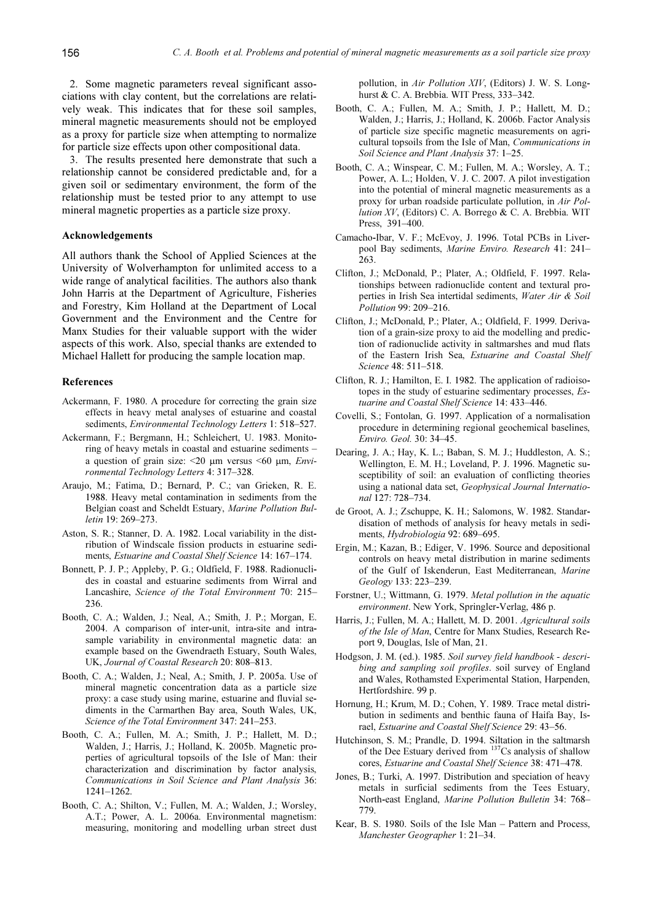2. Some magnetic parameters reveal significant associations with clay content, but the correlations are relatively weak. This indicates that for these soil samples, mineral magnetic measurements should not be employed as a proxy for particle size when attempting to normalize for particle size effects upon other compositional data.

3. The results presented here demonstrate that such a relationship cannot be considered predictable and, for a given soil or sedimentary environment, the form of the relationship must be tested prior to any attempt to use mineral magnetic properties as a particle size proxy.

# Acknowledgements

All authors thank the School of Applied Sciences at the University of Wolverhampton for unlimited access to a wide range of analytical facilities. The authors also thank John Harris at the Department of Agriculture, Fisheries and Forestry, Kim Holland at the Department of Local Government and the Environment and the Centre for Manx Studies for their valuable support with the wider aspects of this work. Also, special thanks are extended to Michael Hallett for producing the sample location map.

# References

- Ackermann, F. 1980. A procedure for correcting the grain size effects in heavy metal analyses of estuarine and coastal sediments, Environmental Technology Letters 1: 518-527.
- Ackermann, F.; Bergmann, H.; Schleichert, U. 1983. Monitoring of heavy metals in coastal and estuarine sediments – a question of grain size:  $\leq 20$  µm versus  $\leq 60$  µm, *Envi*ronmental Technology Letters 4: 317–328.
- Araujo, M.; Fatima, D.; Bernard, P. C.; van Grieken, R. E. 1988. Heavy metal contamination in sediments from the Belgian coast and Scheldt Estuary, Marine Pollution Bulletin 19: 269–273.
- Aston, S. R.; Stanner, D. A. 1982. Local variability in the distribution of Windscale fission products in estuarine sediments, Estuarine and Coastal Shelf Science 14: 167–174.
- Bonnett, P. J. P.; Appleby, P. G.; Oldfield, F. 1988. Radionuclides in coastal and estuarine sediments from Wirral and Lancashire, Science of the Total Environment 70: 215– 236.
- Booth, C. A.; Walden, J.; Neal, A.; Smith, J. P.; Morgan, E. 2004. A comparison of inter-unit, intra-site and intrasample variability in environmental magnetic data: an example based on the Gwendraeth Estuary, South Wales, UK, Journal of Coastal Research 20: 808–813.
- Booth, C. A.; Walden, J.; Neal, A.; Smith, J. P. 2005a. Use of mineral magnetic concentration data as a particle size proxy: a case study using marine, estuarine and fluvial sediments in the Carmarthen Bay area, South Wales, UK, Science of the Total Environment 347: 241–253.
- Booth, C. A.; Fullen, M. A.; Smith, J. P.; Hallett, M. D.; Walden, J.; Harris, J.; Holland, K. 2005b. Magnetic properties of agricultural topsoils of the Isle of Man: their characterization and discrimination by factor analysis, Communications in Soil Science and Plant Analysis 36: 1241–1262.
- Booth, C. A.; Shilton, V.; Fullen, M. A.; Walden, J.; Worsley, A.T.; Power, A. L. 2006a. Environmental magnetism: measuring, monitoring and modelling urban street dust

pollution, in Air Pollution XIV, (Editors) J. W. S. Longhurst & C. A. Brebbia. WIT Press, 333–342.

- Booth, C. A.; Fullen, M. A.; Smith, J. P.; Hallett, M. D.; Walden, J.; Harris, J.; Holland, K. 2006b. Factor Analysis of particle size specific magnetic measurements on agricultural topsoils from the Isle of Man, Communications in Soil Science and Plant Analysis 37: 1–25.
- Booth, C. A.; Winspear, C. M.; Fullen, M. A.; Worsley, A. T.; Power, A. L.; Holden, V. J. C. 2007. A pilot investigation into the potential of mineral magnetic measurements as a proxy for urban roadside particulate pollution, in Air Pollution XV, (Editors) C. A. Borrego & C. A. Brebbia. WIT Press, 391–400.
- Camacho-Ibar, V. F.; McEvoy, J. 1996. Total PCBs in Liverpool Bay sediments, Marine Enviro. Research 41: 241– 263.
- Clifton, J.; McDonald, P.; Plater, A.; Oldfield, F. 1997. Relationships between radionuclide content and textural properties in Irish Sea intertidal sediments, Water Air & Soil Pollution 99: 209–216.
- Clifton, J.; McDonald, P.; Plater, A.; Oldfield, F. 1999. Derivation of a grain-size proxy to aid the modelling and prediction of radionuclide activity in saltmarshes and mud flats of the Eastern Irish Sea, Estuarine and Coastal Shelf Science 48: 511–518.
- Clifton, R. J.; Hamilton, E. I. 1982. The application of radioisotopes in the study of estuarine sedimentary processes, Estuarine and Coastal Shelf Science 14: 433–446.
- Covelli, S.; Fontolan, G. 1997. Application of a normalisation procedure in determining regional geochemical baselines, Enviro. Geol. 30: 34–45.
- Dearing, J. A.; Hay, K. L.; Baban, S. M. J.; Huddleston, A. S.; Wellington, E. M. H.; Loveland, P. J. 1996. Magnetic susceptibility of soil: an evaluation of conflicting theories using a national data set, Geophysical Journal International 127: 728–734.
- de Groot, A. J.; Zschuppe, K. H.; Salomons, W. 1982. Standardisation of methods of analysis for heavy metals in sediments, Hydrobiologia 92: 689–695.
- Ergin, M.; Kazan, B.; Ediger, V. 1996. Source and depositional controls on heavy metal distribution in marine sediments of the Gulf of Iskenderun, East Mediterranean, Marine Geology 133: 223–239.
- Forstner, U.; Wittmann, G. 1979. Metal pollution in the aquatic environment. New York, Springler-Verlag, 486 p.
- Harris, J.; Fullen, M. A.; Hallett, M. D. 2001. Agricultural soils of the Isle of Man, Centre for Manx Studies, Research Report 9, Douglas, Isle of Man, 21.
- Hodgson, J. M. (ed.). 1985. Soil survey field handbook describing and sampling soil profiles. soil survey of England and Wales, Rothamsted Experimental Station, Harpenden, Hertfordshire. 99 p.
- Hornung, H.; Krum, M. D.; Cohen, Y. 1989. Trace metal distribution in sediments and benthic fauna of Haifa Bay, Israel, Estuarine and Coastal Shelf Science 29: 43–56.
- Hutchinson, S. M.; Prandle, D. 1994. Siltation in the saltmarsh of the Dee Estuary derived from  $137$ Cs analysis of shallow cores, Estuarine and Coastal Shelf Science 38: 471–478.
- Jones, B.; Turki, A. 1997. Distribution and speciation of heavy metals in surficial sediments from the Tees Estuary, North-east England, Marine Pollution Bulletin 34: 768– 779.
- Kear, B. S. 1980. Soils of the Isle Man Pattern and Process, Manchester Geographer 1: 21–34.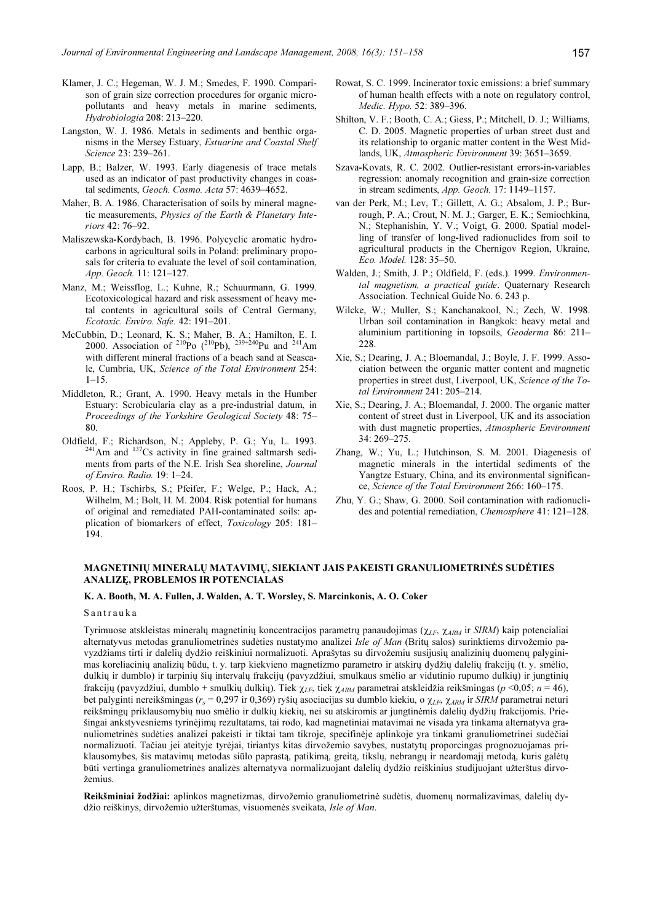- Klamer, J. C.; Hegeman, W. J. M.; Smedes, F. 1990. Comparison of grain size correction procedures for organic micropollutants and heavy metals in marine sediments, Hydrobiologia 208: 213–220.
- Langston, W. J. 1986. Metals in sediments and benthic organisms in the Mersey Estuary, Estuarine and Coastal Shelf Science 23: 239–261.
- Lapp, B.; Balzer, W. 1993. Early diagenesis of trace metals used as an indicator of past productivity changes in coastal sediments, Geoch. Cosmo. Acta 57: 4639–4652.
- Maher, B. A. 1986. Characterisation of soils by mineral magnetic measurements, Physics of the Earth & Planetary Interiors 42: 76–92.
- Maliszewska-Kordybach, B. 1996. Polycyclic aromatic hydrocarbons in agricultural soils in Poland: preliminary proposals for criteria to evaluate the level of soil contamination, App. Geoch. 11: 121–127.
- Manz, M.; Weissflog, L.; Kuhne, R.; Schuurmann, G. 1999. Ecotoxicological hazard and risk assessment of heavy metal contents in agricultural soils of Central Germany, Ecotoxic. Enviro. Safe. 42: 191–201.
- McCubbin, D.; Leonard, K. S.; Maher, B. A.; Hamilton, E. I. 2000. Association of <sup>210</sup>Po (<sup>210</sup>Pb), <sup>239+240</sup>Pu and <sup>241</sup>Am with different mineral fractions of a beach sand at Seascale, Cumbria, UK, Science of the Total Environment 254:  $1 - 15$ .
- Middleton, R.; Grant, A. 1990. Heavy metals in the Humber Estuary: Scrobicularia clay as a pre-industrial datum, in Proceedings of the Yorkshire Geological Society 48: 75– 80.
- Oldfield, F.; Richardson, N.; Appleby, P. G.; Yu, L. 1993.  $^{241}$ Am and  $^{137}$ Cs activity in fine grained saltmarsh sediments from parts of the N.E. Irish Sea shoreline, Journal of Enviro. Radio. 19: 1–24.
- Roos, P. H.; Tschirbs, S.; Pfeifer, F.; Welge, P.; Hack, A.; Wilhelm, M.; Bolt, H. M. 2004. Risk potential for humans of original and remediated PAH-contaminated soils: application of biomarkers of effect, Toxicology 205: 181– 194.
- Rowat, S. C. 1999. Incinerator toxic emissions: a brief summary of human health effects with a note on regulatory control, Medic. Hypo. 52: 389–396.
- Shilton, V. F.; Booth, C. A.; Giess, P.; Mitchell, D. J.; Williams, C. D. 2005. Magnetic properties of urban street dust and its relationship to organic matter content in the West Midlands, UK, Atmospheric Environment 39: 3651–3659.
- Szava-Kovats, R. C. 2002. Outlier-resistant errors-in-variables regression: anomaly recognition and grain-size correction in stream sediments, App. Geoch. 17: 1149–1157.
- van der Perk, M.; Lev, T.; Gillett, A. G.; Absalom, J. P.; Burrough, P. A.; Crout, N. M. J.; Garger, E. K.; Semiochkina, N.; Stephanishin, Y. V.; Voigt, G. 2000. Spatial modelling of transfer of long-lived radionuclides from soil to agricultural products in the Chernigov Region, Ukraine, Eco. Model. 128: 35–50.
- Walden, J.; Smith, J. P.; Oldfield, F. (eds.). 1999. Environmental magnetism, a practical guide. Quaternary Research Association. Technical Guide No. 6. 243 p.
- Wilcke, W.; Muller, S.; Kanchanakool, N.; Zech, W. 1998. Urban soil contamination in Bangkok: heavy metal and aluminium partitioning in topsoils, Geoderma 86: 211– 228.
- Xie, S.; Dearing, J. A.; Bloemandal, J.; Boyle, J. F. 1999. Association between the organic matter content and magnetic properties in street dust, Liverpool, UK, Science of the Total Environment 241: 205–214.
- Xie, S.; Dearing, J. A.; Bloemandal, J. 2000. The organic matter content of street dust in Liverpool, UK and its association with dust magnetic properties, Atmospheric Environment 34: 269–275.
- Zhang, W.; Yu, L.; Hutchinson, S. M. 2001. Diagenesis of magnetic minerals in the intertidal sediments of the Yangtze Estuary, China, and its environmental significance, Science of the Total Environment 266: 160–175.
- Zhu, Y. G.; Shaw, G. 2000. Soil contamination with radionuclides and potential remediation, Chemosphere 41: 121–128.

# MAGNETINIŲ MINERALŲ MATAVIMŲ, SIEKIANT JAIS PAKEISTI GRANULIOMETRINĖS SUDĖTIES ANALIZĘ, PROBLEMOS IR POTENCIALAS

#### K. A. Booth, M. A. Fullen, J. Walden, A. T. Worsley, S. Marcinkonis, A. O. Coker

#### S a n t r a u k a

Tyrimuose atskleistas mineralų magnetinių koncentracijos parametrų panaudojimas ( $\chi_{LF}$ ,  $\chi_{ARM}$  ir SIRM) kaip potencialiai alternatyvus metodas granuliometrinės sudėties nustatymo analizei Isle of Man (Britų salos) surinktiems dirvožemio pavyzdžiams tirti ir dalelių dydžio reiškiniui normalizuoti. Aprašytas su dirvožemiu susijusių analizinių duomenų palyginimas koreliacinių analizių būdu, t. y. tarp kiekvieno magnetizmo parametro ir atskirų dydžių dalelių frakcijų (t. y. smėlio, dulkių ir dumblo) ir tarpinių šių intervalų frakcijų (pavyzdžiui, smulkaus smėlio ar vidutinio rupumo dulkių) ir jungtinių frakcijų (pavyzdžiui, dumblo + smulkių dulkių). Tiek  $\chi_{LF}$ , tiek  $\chi_{ARM}$  parametrai atskleidžia reikšmingas (p <0,05; n = 46), bet palyginti nereikšmingas ( $r_s$  = 0,297 ir 0,369) ryšių asociacijas su dumblo kiekiu, o  $\chi_{LF}$ ,  $\chi_{ARM}$  ir *SIRM* parametrai neturi reikšmingų priklausomybių nuo smėlio ir dulkių kiekių, nei su atskiromis ar jungtinėmis dalelių dydžių frakcijomis. Priešingai ankstyvesniems tyrinėjimų rezultatams, tai rodo, kad magnetiniai matavimai ne visada yra tinkama alternatyva granuliometrinės sudėties analizei pakeisti ir tiktai tam tikroje, specifinėje aplinkoje yra tinkami granuliometrinei sudėčiai normalizuoti. Tačiau jei ateityje tyrėjai, tiriantys kitas dirvožemio savybes, nustatytų proporcingas prognozuojamas priklausomybes, šis matavimų metodas siūlo paprastą, patikimą, greitą, tikslų, nebrangų ir neardomąjį metodą, kuris galėtų būti vertinga granuliometrinės analizės alternatyva normalizuojant dalelių dydžio reiškinius studijuojant užterštus dirvožemius.

Reikšminiai žodžiai: aplinkos magnetizmas, dirvožemio granuliometrinė sudėtis, duomenų normalizavimas, dalelių dydžio reiškinys, dirvožemio užterštumas, visuomenės sveikata, Isle of Man.